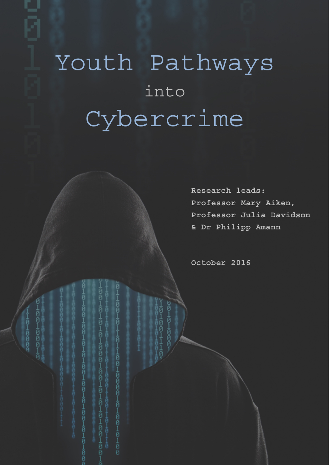# Youth Pathways into Cybercrime

**Research leads: Professor Mary Aiken, Professor Julia Davidson & Dr Philipp Amann** 

**October 2016** 

100101101 100100001010101010

0101000100101010100

0101001001010101

010100

1001000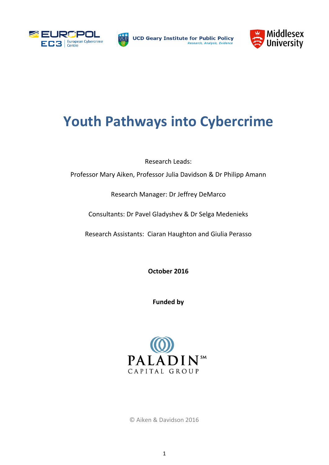



**UCD Geary Institute for Public Policy** Research, Analysis, Eviden



# **Youth Pathways into Cybercrime**

Research Leads:

Professor Mary Aiken, Professor Julia Davidson & Dr Philipp Amann

Research Manager: Dr Jeffrey DeMarco

Consultants: Dr Pavel Gladyshev & Dr Selga Medenieks

Research Assistants: Ciaran Haughton and Giulia Perasso

**October 2016** 

**Funded by** 



© Aiken & Davidson 2016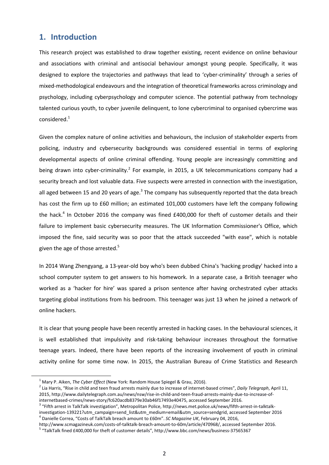# **1. Introduction**

This research project was established to draw together existing, recent evidence on online behaviour and associations with criminal and antisocial behaviour amongst young people. Specifically, it was designed to explore the trajectories and pathways that lead to 'cyber-criminality' through a series of mixed-methodological endeavours and the integration of theoretical frameworks across criminology and psychology, including cyberpsychology and computer science. The potential pathway from technology talented curious youth, to cyber juvenile delinquent, to lone cybercriminal to organised cybercrime was  $considered.<sup>1</sup>$ 

Given the complex nature of online activities and behaviours, the inclusion of stakeholder experts from policing, industry and cybersecurity backgrounds was considered essential in terms of exploring developmental aspects of online criminal offending. Young people are increasingly committing and being drawn into cyber-criminality.<sup>2</sup> For example, in 2015, a UK telecommunications company had a security breach and lost valuable data. Five suspects were arrested in connection with the investigation, all aged between 15 and 20 years of age.<sup>3</sup> The company has subsequently reported that the data breach has cost the firm up to £60 million; an estimated 101,000 customers have left the company following the hack.<sup>4</sup> In October 2016 the company was fined £400,000 for theft of customer details and their failure to implement basic cybersecurity measures. The UK Information Commissioner's Office, which imposed the fine, said security was so poor that the attack succeeded "with ease", which is notable given the age of those arrested. $5$ 

In 2014 Wang Zhengyang, a 13-year-old boy who's been dubbed China's 'hacking prodigy' hacked into a school computer system to get answers to his homework. In a separate case, a British teenager who worked as a 'hacker for hire' was spared a prison sentence after having orchestrated cyber attacks targeting global institutions from his bedroom. This teenager was just 13 when he joined a network of online hackers.

It is clear that young people have been recently arrested in hacking cases. In the behavioural sciences, it is well established that impulsivity and risk-taking behaviour increases throughout the formative teenage years. Indeed, there have been reports of the increasing involvement of youth in criminal activity online for some time now. In 2015, the Australian Bureau of Crime Statistics and Research

 $\overline{\phantom{0}}$ <sup>1</sup> Mary P. Aiken, *The Cyber Effect* (New York: Random House Spiegel & Grau, 2016).

Lia Harris, "Rise in child and teen fraud arrests mainly due to increase of internet-based crimes", *Daily Telegraph*, April 11, 2015, http://www.dailytelegraph.com.au/news/nsw/rise-in-child-and-teen-fraud-arrests-mainly-due-to-increase-ofinternetbased-crimes/news-story/fc620acdb8379e30ab46f17493e40475, accessed September 2016. <sup>3</sup>

<sup>&</sup>lt;sup>3</sup> "Fifth arrest in TalkTalk investigation", Metropolitan Police, http://news.met.police.uk/news/fifth-arrest-in-talktalkinvestigation-139221?utm\_campaign=send\_list&utm\_medium=email&utm\_source=sendgrid, accessed September 2016 Danielle Correa, "Costs of TalkTalk breach amount to £60m". *SC Magazine UK*, February 04, 2016,

http://www.scmagazineuk.com/costs-of-talktalk-breach-amount-to-60m/article/470968/, accessed September 2016. 5

<sup>&</sup>lt;sup>5</sup> "TalkTalk fined £400,000 for theft of customer details", http://www.bbc.com/news/business-37565367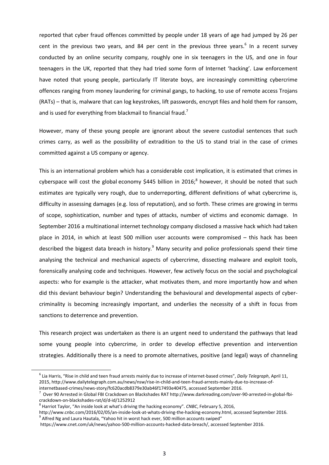reported that cyber fraud offences committed by people under 18 years of age had jumped by 26 per cent in the previous two years, and 84 per cent in the previous three years. $<sup>6</sup>$  In a recent survey</sup> conducted by an online security company, roughly one in six teenagers in the US, and one in four teenagers in the UK, reported that they had tried some form of Internet 'hacking'. Law enforcement have noted that young people, particularly IT literate boys, are increasingly committing cybercrime offences ranging from money laundering for criminal gangs, to hacking, to use of remote access Trojans (RATs) – that is, malware that can log keystrokes, lift passwords, encrypt files and hold them for ransom, and is used for everything from blackmail to financial fraud.<sup>7</sup>

However, many of these young people are ignorant about the severe custodial sentences that such crimes carry, as well as the possibility of extradition to the US to stand trial in the case of crimes committed against a US company or agency.

This is an international problem which has a considerable cost implication, it is estimated that crimes in cyberspace will cost the global economy \$445 billion in 2016; $^8$  however, it should be noted that such estimates are typically very rough, due to underreporting, different definitions of what cybercrime is, difficulty in assessing damages (e.g. loss of reputation), and so forth. These crimes are growing in terms of scope, sophistication, number and types of attacks, number of victims and economic damage. In September 2016 a multinational internet technology company disclosed a massive hack which had taken place in 2014, in which at least 500 million user accounts were compromised – this hack has been described the biggest data breach in history.<sup>9</sup> Many security and police professionals spend their time analysing the technical and mechanical aspects of cybercrime, dissecting malware and exploit tools, forensically analysing code and techniques. However, few actively focus on the social and psychological aspects: who for example is the attacker, what motivates them, and more importantly how and when did this deviant behaviour begin? Understanding the behavioural and developmental aspects of cybercriminality is becoming increasingly important, and underlies the necessity of a shift in focus from sanctions to deterrence and prevention.

This research project was undertaken as there is an urgent need to understand the pathways that lead some young people into cybercrime, in order to develop effective prevention and intervention strategies. Additionally there is a need to promote alternatives, positive (and legal) ways of channeling

 $\overline{6}$  Lia Harris, "Rise in child and teen fraud arrests mainly due to increase of internet-based crimes", *Daily Telegraph*, April 11, 2015, http://www.dailytelegraph.com.au/news/nsw/rise-in-child-and-teen-fraud-arrests-mainly-due-to-increase-ofinternetbased-crimes/news-story/fc620acdb8379e30ab46f17493e40475, accessed September 2016. 7

 $^7$  Over 90 Arrested in Global FBI Crackdown on Blackshades RAT http://www.darkreading.com/over-90-arrested-in-global-fbicrackdown-on-blackshades-rat/d/d-id/1252912

<sup>8</sup> Harriot Taylor, "An inside look at what's driving the hacking economy". *CNBC*, February 5, 2016,

http://www.cnbc.com/2016/02/05/an-inside-look-at-whats-driving-the-hacking-economy.html, accessed September 2016. 9  $^9$  Alfred Ng and Laura Hautala, "Yahoo hit in worst hack ever, 500 million accounts swiped"

https://www.cnet.com/uk/news/yahoo-500-million-accounts-hacked-data-breach/, accessed September 2016.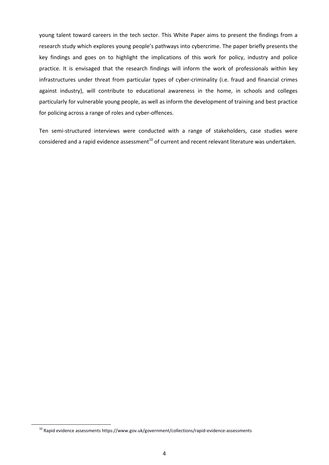young talent toward careers in the tech sector. This White Paper aims to present the findings from a research study which explores young people's pathways into cybercrime. The paper briefly presents the key findings and goes on to highlight the implications of this work for policy, industry and police practice. It is envisaged that the research findings will inform the work of professionals within key infrastructures under threat from particular types of cyber-criminality (i.e. fraud and financial crimes against industry), will contribute to educational awareness in the home, in schools and colleges particularly for vulnerable young people, as well as inform the development of training and best practice for policing across a range of roles and cyber-offences.

Ten semi-structured interviews were conducted with a range of stakeholders, case studies were considered and a rapid evidence assessment<sup>10</sup> of current and recent relevant literature was undertaken.

10 Rapid evidence assessments https://www.gov.uk/government/collections/rapid-evidence-assessments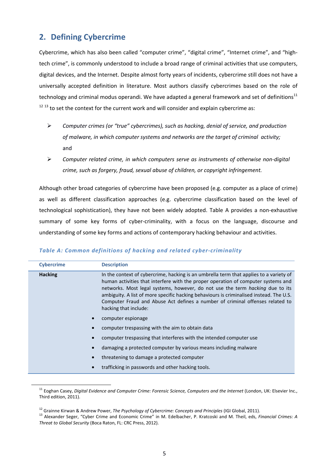# **2. Defining Cybercrime**

Cybercrime, which has also been called "computer crime", "digital crime", "Internet crime", and "hightech crime", is commonly understood to include a broad range of criminal activities that use computers, digital devices, and the Internet. Despite almost forty years of incidents, cybercrime still does not have a universally accepted definition in literature. Most authors classify cybercrimes based on the role of technology and criminal modus operandi. We have adapted a general framework and set of definitions<sup>11</sup>  $12$  13 to set the context for the current work and will consider and explain cybercrime as:

- *Computer crimes (or "true" cybercrimes), such as hacking, denial of service, and production of malware, in which computer systems and networks are the target of criminal activity;* and
- *Computer related crime, in which computers serve as instruments of otherwise non-digital crime, such as forgery, fraud, sexual abuse of children, or copyright infringement.*

Although other broad categories of cybercrime have been proposed (e.g. computer as a place of crime) as well as different classification approaches (e.g. cybercrime classification based on the level of technological sophistication), they have not been widely adopted. Table A provides a non-exhaustive summary of some key forms of cyber-criminality, with a focus on the language, discourse and understanding of some key forms and actions of contemporary hacking behaviour and activities.

| TUDIC A. COMMON UCHMITIONS OF HUCKING UNU TENTEU CYDEF-CHMINUMLY |                                                                                                                                                                                                                                                                                                                                                                                                                                                                          |  |
|------------------------------------------------------------------|--------------------------------------------------------------------------------------------------------------------------------------------------------------------------------------------------------------------------------------------------------------------------------------------------------------------------------------------------------------------------------------------------------------------------------------------------------------------------|--|
| <b>Cybercrime</b>                                                | <b>Description</b>                                                                                                                                                                                                                                                                                                                                                                                                                                                       |  |
| <b>Hacking</b>                                                   | In the context of cybercrime, hacking is an umbrella term that applies to a variety of<br>human activities that interfere with the proper operation of computer systems and<br>networks. Most legal systems, however, do not use the term <i>hacking</i> due to its<br>ambiguity. A list of more specific hacking behaviours is criminalised instead. The U.S.<br>Computer Fraud and Abuse Act defines a number of criminal offenses related to<br>hacking that include: |  |
|                                                                  | computer espionage                                                                                                                                                                                                                                                                                                                                                                                                                                                       |  |
|                                                                  | computer trespassing with the aim to obtain data                                                                                                                                                                                                                                                                                                                                                                                                                         |  |
|                                                                  | computer trespassing that interferes with the intended computer use                                                                                                                                                                                                                                                                                                                                                                                                      |  |
|                                                                  | damaging a protected computer by various means including malware                                                                                                                                                                                                                                                                                                                                                                                                         |  |

#### *Table A: Common definitions of hacking and related cyber-criminality*

• threatening to damage a protected computer • trafficking in passwords and other hacking tools.

<sup>&</sup>lt;sup>11</sup> Eoghan Casey, *Digital Evidence and Computer Crime: Forensic Science, Computers and the Internet* (London, UK: Elsevier Inc., Third edition, 2011).

<sup>&</sup>lt;sup>12</sup> Grainne Kirwan & Andrew Power, *The Psychology of Cybercrime: Concepts and Principles* (IGI Global, 2011).<br><sup>13</sup> Alexander Seger, "Cyber Crime and Economic Crime" in M. Edelbacher, P. Kratcoski and M. Theil, eds, *Fin Threat to Global Security* (Boca Raton, FL: CRC Press, 2012).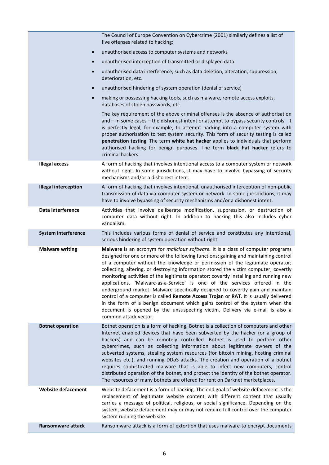|                             | The Council of Europe Convention on Cybercrime (2001) similarly defines a list of<br>five offenses related to hacking:                                                                                                                                                                                                                                                                                                                                                                                                                                                                                                                                                                                                                                                                                                                                                                      |
|-----------------------------|---------------------------------------------------------------------------------------------------------------------------------------------------------------------------------------------------------------------------------------------------------------------------------------------------------------------------------------------------------------------------------------------------------------------------------------------------------------------------------------------------------------------------------------------------------------------------------------------------------------------------------------------------------------------------------------------------------------------------------------------------------------------------------------------------------------------------------------------------------------------------------------------|
| $\bullet$                   | unauthorised access to computer systems and networks                                                                                                                                                                                                                                                                                                                                                                                                                                                                                                                                                                                                                                                                                                                                                                                                                                        |
| $\bullet$                   | unauthorised interception of transmitted or displayed data                                                                                                                                                                                                                                                                                                                                                                                                                                                                                                                                                                                                                                                                                                                                                                                                                                  |
| $\bullet$                   | unauthorised data interference, such as data deletion, alteration, suppression,<br>deterioration, etc.                                                                                                                                                                                                                                                                                                                                                                                                                                                                                                                                                                                                                                                                                                                                                                                      |
| $\bullet$                   | unauthorised hindering of system operation (denial of service)                                                                                                                                                                                                                                                                                                                                                                                                                                                                                                                                                                                                                                                                                                                                                                                                                              |
| $\bullet$                   | making or possessing hacking tools, such as malware, remote access exploits,<br>databases of stolen passwords, etc.                                                                                                                                                                                                                                                                                                                                                                                                                                                                                                                                                                                                                                                                                                                                                                         |
|                             | The key requirement of the above criminal offenses is the absence of authorisation<br>and - in some cases - the dishonest intent or attempt to bypass security controls. It<br>is perfectly legal, for example, to attempt hacking into a computer system with<br>proper authorisation to test system security. This form of security testing is called<br>penetration testing. The term white hat hacker applies to individuals that perform<br>authorised hacking for benign purposes. The term black hat hacker refers to<br>criminal hackers.                                                                                                                                                                                                                                                                                                                                           |
| <b>Illegal access</b>       | A form of hacking that involves intentional access to a computer system or network<br>without right. In some jurisdictions, it may have to involve bypassing of security<br>mechanisms and/or a dishonest intent.                                                                                                                                                                                                                                                                                                                                                                                                                                                                                                                                                                                                                                                                           |
| <b>Illegal interception</b> | A form of hacking that involves intentional, unauthorised interception of non-public<br>transmission of data via computer system or network. In some jurisdictions, it may<br>have to involve bypassing of security mechanisms and/or a dishonest intent.                                                                                                                                                                                                                                                                                                                                                                                                                                                                                                                                                                                                                                   |
| Data interference           | Activities that involve deliberate modification, suppression, or destruction of<br>computer data without right. In addition to hacking this also includes cyber<br>vandalism.                                                                                                                                                                                                                                                                                                                                                                                                                                                                                                                                                                                                                                                                                                               |
| System interference         | This includes various forms of denial of service and constitutes any intentional,<br>serious hindering of system operation without right                                                                                                                                                                                                                                                                                                                                                                                                                                                                                                                                                                                                                                                                                                                                                    |
| <b>Malware writing</b>      | Malware is an acronym for malicious software. It is a class of computer programs<br>designed for one or more of the following functions: gaining and maintaining control<br>of a computer without the knowledge or permission of the legitimate operator;<br>collecting, altering, or destroying information stored the victim computer; covertly<br>monitoring activities of the legitimate operator; covertly installing and running new<br>applications. 'Malware-as-a-Service' is one of the services offered in the<br>underground market. Malware specifically designed to covertly gain and maintain<br>control of a computer is called Remote Access Trojan or RAT. It is usually delivered<br>in the form of a benign document which gains control of the system when the<br>document is opened by the unsuspecting victim. Delivery via e-mail is also a<br>common attack vector. |
| <b>Botnet operation</b>     | Botnet operation is a form of hacking. Botnet is a collection of computers and other<br>Internet enabled devices that have been subverted by the hacker (or a group of<br>hackers) and can be remotely controlled. Botnet is used to perform other<br>cybercrimes, such as collecting information about legitimate owners of the<br>subverted systems, stealing system resources (for bitcoin mining, hosting criminal<br>websites etc.), and running DDoS attacks. The creation and operation of a botnet<br>requires sophisticated malware that is able to infect new computers, control<br>distributed operation of the botnet, and protect the identity of the botnet operator.<br>The resources of many botnets are offered for rent on Darknet marketplaces.                                                                                                                          |
| <b>Website defacement</b>   | Website defacement is a form of hacking. The end goal of website defacement is the<br>replacement of legitimate website content with different content that usually<br>carries a message of political, religious, or social significance. Depending on the<br>system, website defacement may or may not require full control over the computer<br>system running the web site.                                                                                                                                                                                                                                                                                                                                                                                                                                                                                                              |
| Ransomware attack           | Ransomware attack is a form of extortion that uses malware to encrypt documents                                                                                                                                                                                                                                                                                                                                                                                                                                                                                                                                                                                                                                                                                                                                                                                                             |
|                             |                                                                                                                                                                                                                                                                                                                                                                                                                                                                                                                                                                                                                                                                                                                                                                                                                                                                                             |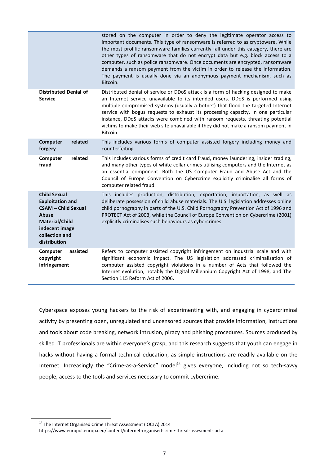|                                                                                                                                                                           | stored on the computer in order to deny the legitimate operator access to<br>important documents. This type of ransomware is referred to as cryptoware. While<br>the most prolific ransomware families currently fall under this category, there are<br>other types of ransomware that do not encrypt data but e.g. block access to a<br>computer, such as police ransomware. Once documents are encrypted, ransomware<br>demands a ransom payment from the victim in order to release the information.<br>The payment is usually done via an anonymous payment mechanism, such as<br>Bitcoin. |
|---------------------------------------------------------------------------------------------------------------------------------------------------------------------------|------------------------------------------------------------------------------------------------------------------------------------------------------------------------------------------------------------------------------------------------------------------------------------------------------------------------------------------------------------------------------------------------------------------------------------------------------------------------------------------------------------------------------------------------------------------------------------------------|
| <b>Distributed Denial of</b><br><b>Service</b>                                                                                                                            | Distributed denial of service or DDoS attack is a form of hacking designed to make<br>an Internet service unavailable to its intended users. DDoS is performed using<br>multiple compromised systems (usually a botnet) that flood the targeted Internet<br>service with bogus requests to exhaust its processing capacity. In one particular<br>instance, DDoS attacks were combined with ransom requests, threating potential<br>victims to make their web site unavailable if they did not make a ransom payment in<br>Bitcoin.                                                             |
| Computer<br>related<br>forgery                                                                                                                                            | This includes various forms of computer assisted forgery including money and<br>counterfeiting                                                                                                                                                                                                                                                                                                                                                                                                                                                                                                 |
| related<br>Computer<br>fraud                                                                                                                                              | This includes various forms of credit card fraud, money laundering, insider trading,<br>and many other types of white collar crimes utilising computers and the Internet as<br>an essential component. Both the US Computer Fraud and Abuse Act and the<br>Council of Europe Convention on Cybercrime explicitly criminalise all forms of<br>computer related fraud.                                                                                                                                                                                                                           |
| <b>Child Sexual</b><br><b>Exploitation and</b><br><b>CSAM - Child Sexual</b><br><b>Abuse</b><br><b>Material/Child</b><br>indecent image<br>collection and<br>distribution | This includes production, distribution, exportation, importation, as well as<br>deliberate possession of child abuse materials. The U.S. legislation addresses online<br>child pornography in parts of the U.S. Child Pornography Prevention Act of 1996 and<br>PROTECT Act of 2003, while the Council of Europe Convention on Cybercrime (2001)<br>explicitly criminalises such behaviours as cybercrimes.                                                                                                                                                                                    |
| Computer<br>assisted<br>copyright<br>infringement                                                                                                                         | Refers to computer assisted copyright infringement on industrial scale and with<br>significant economic impact. The US legislation addressed criminalisation of<br>computer assisted copyright violations in a number of Acts that followed the<br>Internet evolution, notably the Digital Millennium Copyright Act of 1998, and The<br>Section 115 Reform Act of 2006.                                                                                                                                                                                                                        |

Cyberspace exposes young hackers to the risk of experimenting with, and engaging in cybercriminal activity by presenting open, unregulated and uncensored sources that provide information, instructions and tools about code breaking, network intrusion, piracy and phishing procedures. Sources produced by skilled IT professionals are within everyone's grasp, and this research suggests that youth can engage in hacks without having a formal technical education, as simple instructions are readily available on the Internet. Increasingly the "Crime-as-a-Service" model<sup>14</sup> gives everyone, including not so tech-savvy people, access to the tools and services necessary to commit cybercrime.

<sup>&</sup>lt;sup>14</sup> The Internet Organised Crime Threat Assessment (iOCTA) 2014

https://www.europol.europa.eu/content/internet-organised-crime-threat-assesment-iocta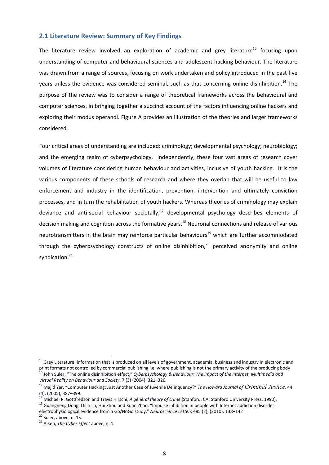#### **2.1 Literature Review: Summary of Key Findings**

The literature review involved an exploration of academic and grey literature<sup>15</sup> focusing upon understanding of computer and behavioural sciences and adolescent hacking behaviour. The literature was drawn from a range of sources, focusing on work undertaken and policy introduced in the past five years unless the evidence was considered seminal, such as that concerning online disinhibition.<sup>16</sup> The purpose of the review was to consider a range of theoretical frameworks across the behavioural and computer sciences, in bringing together a succinct account of the factors influencing online hackers and exploring their modus operandi. Figure A provides an illustration of the theories and larger frameworks considered.

Four critical areas of understanding are included: criminology; developmental psychology; neurobiology; and the emerging realm of cyberpsychology. Independently, these four vast areas of research cover volumes of literature considering human behaviour and activities, inclusive of youth hacking. It is the various components of these schools of research and where they overlap that will be useful to law enforcement and industry in the identification, prevention, intervention and ultimately conviction processes, and in turn the rehabilitation of youth hackers. Whereas theories of criminology may explain deviance and anti-social behaviour societally; $^{17}$  developmental psychology describes elements of decision making and cognition across the formative years.<sup>18</sup> Neuronal connections and release of various neurotransmitters in the brain may reinforce particular behaviours<sup>19</sup> which are further accommodated through the cyberpsychology constructs of online disinhibition.<sup>20</sup> perceived anonymity and online syndication.<sup>21</sup>

<sup>&</sup>lt;sup>15</sup> Grey Literature: information that is produced on all levels of government, academia, business and industry in electronic and print formats not controlled by commercial publishing i.e. where publishing is not the prima <sup>16</sup> John Suler, "The online disinhibition effect," Cyberpsychology & Behaviour: The Impact of the Internet, Multimedia and *Virtual Reality on Behaviour and Society*, 7 (3) (2004): 321–326.

<sup>17</sup> Majid Yar, "Computer Hacking: Just Another Case of Juvenile Delinquency?" *The Howard Journal of Criminal Justice*, 44 (4), (2005), 387–399.<br><sup>18</sup> Michael R. Gottfredson and Travis Hirschi, *A general theory of crime* (Stanford, CA: Stanford University Press, 1990).

<sup>&</sup>lt;sup>19</sup> Guangheng Dong, Qilin Lu, Hui Zhou and Xuan Zhao, "Impulse inhibition in people with Internet addiction disorder: electrophysiological evidence from a Go/NoGo study," *Neuroscience Letters* 485 (2), (2010): 138–142 <sup>20</sup> Suler, above, n. 15.

<sup>21</sup> Aiken, *The Cyber Effect* above, n. 1.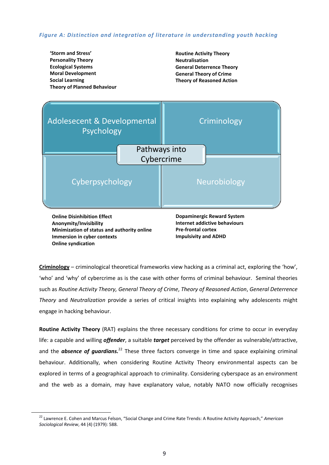#### *Figure A: Distinction and integration of literature in understanding youth hacking*



**Criminology** – criminological theoretical frameworks view hacking as a criminal act, exploring the 'how', 'who' and 'why' of cybercrime as is the case with other forms of criminal behaviour. Seminal theories such as *Routine Activity Theory, General Theory of Crime*, *Theory of Reasoned Action*, *General Deterrence Theory* and *Neutralization* provide a series of critical insights into explaining why adolescents might engage in hacking behaviour.

**Routine Activity Theory** (RAT) explains the three necessary conditions for crime to occur in everyday life: a capable and willing *offender*, a suitable *target* perceived by the offender as vulnerable/attractive, and the **absence of guardians.**<sup>22</sup> These three factors converge in time and space explaining criminal behaviour. Additionally, when considering Routine Activity Theory environmental aspects can be explored in terms of a geographical approach to criminality. Considering cyberspace as an environment and the web as a domain, may have explanatory value, notably NATO now officially recognises

22 Lawrence E. Cohen and Marcus Felson, "Social Change and Crime Rate Trends: A Routine Activity Approach," *American Sociological Review*, 44 (4) (1979): 588.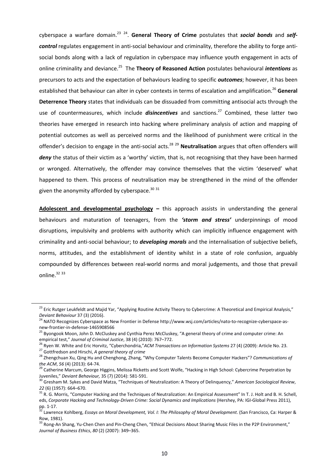cyberspace a warfare domain.23 24. **General Theory of Crime** postulates that *social bonds* and *selfcontrol* regulates engagement in anti-social behaviour and criminality, therefore the ability to forge antisocial bonds along with a lack of regulation in cyberspace may influence youth engagement in acts of online criminality and deviance.25 The **Theory of Reasoned Action** postulates behavioural *intentions* as precursors to acts and the expectation of behaviours leading to specific *outcomes*; however, it has been established that behaviour can alter in cyber contexts in terms of escalation and amplification.<sup>26</sup> General **Deterrence Theory** states that individuals can be dissuaded from committing antisocial acts through the use of countermeasures, which include *disincentives* and sanctions.<sup>27</sup> Combined, these latter two theories have emerged in research into hacking where preliminary analysis of action and mapping of potential outcomes as well as perceived norms and the likelihood of punishment were critical in the offender's decision to engage in the anti-social acts.<sup>28</sup> <sup>29</sup> **Neutralisation** argues that often offenders will deny the status of their victim as a 'worthy' victim, that is, not recognising that they have been harmed or wronged. Alternatively, the offender may convince themselves that the victim 'deserved' what happened to them. This process of neutralisation may be strengthened in the mind of the offender given the anonymity afforded by cyberspace. $30\,31$ 

**Adolescent and developmental psychology –** this approach assists in understanding the general behaviours and maturation of teenagers, from the *'storm and stress'* underpinnings of mood disruptions, impulsivity and problems with authority which can implicitly influence engagement with criminality and anti-social behaviour; to *developing morals* and the internalisation of subjective beliefs, norms, attitudes, and the establishment of identity whilst in a state of role confusion, arguably compounded by differences between real-world norms and moral judgements, and those that prevail online.<sup>32 33</sup>

<sup>&</sup>lt;sup>23</sup> Eric Rutger Leukfeldt and Majid Yar, "Applying Routine Activity Theory to Cybercrime: A Theoretical and Empirical Analysis,"<br>Deviant Behaviour 37 (3) (2016).

<sup>&</sup>lt;sup>24</sup> NATO Recognizes Cyberspace as New Frontier in Defense http://www.wsj.com/articles/nato-to-recognize-cyberspace-asnew-frontier-in-defense-1465908566

<sup>&</sup>lt;sup>25</sup> Byongook Moon, John D. McCluskey and Cynthia Perez McCluskey, "A general theory of crime and computer crime: An

empirical test," Journal of Criminal Justice, 38 (4) (2010): 767–772.<br><sup>26</sup> Ryen W. White and Eric Horvitz, "Cyberchondria," ACM Transactions on Information Systems 27 (4) (2009): Article No. 23.<br><sup>27</sup> Gottfredson and Hirsch

<sup>&</sup>lt;sup>29</sup> Catherine Marcum, George Higgins, Melissa Ricketts and Scott Wolfe, "Hacking in High School: Cybercrime Perpetration by Juveniles," *Deviant Behaviour,* 35 (7) (2014): 581-591.<br><sup>30</sup> Gresham M. Sykes and David Matza, "Techniques of Neutralization: A Theory of Delinquency," *American Sociological Review*,

<sup>22 (6) (1957): 664–670.&</sup>lt;br><sup>31</sup> R. G. Morris, "Computer Hacking and the Techniques of Neutralization: An Empirical Assessment" In T. J. Holt and B. H. Schell, eds, *Corporate Hacking and Technology-Driven Crime: Social Dynamics and Implications* (Hershey, PA: IGI-Global Press 2011), pp. 1-17.

<sup>&</sup>lt;sup>32</sup> Lawrence Kohlberg, *Essays on Moral Development, Vol. I: The Philosophy of Moral Development*. (San Francisco, Ca: Harper & Row, 1981).

<sup>33</sup> Rong-An Shang, Yu-Chen Chen and Pin-Cheng Chen, "Ethical Decisions About Sharing Music Files in the P2P Environment," *Journal of Business Ethics*, *80* (2) (2007): 349–365.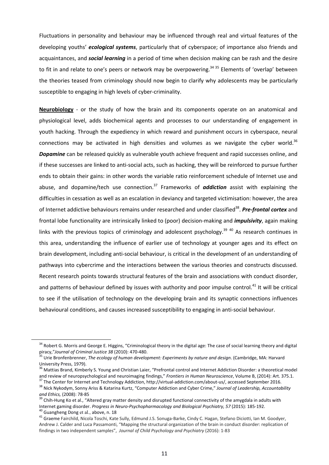Fluctuations in personality and behaviour may be influenced through real and virtual features of the developing youths' *ecological systems*, particularly that of cyberspace; of importance also friends and acquaintances, and *social learning* in a period of time when decision making can be rash and the desire to fit in and relate to one's peers or network may be overpowering.<sup>34 35</sup> Elements of 'overlap' between the theories teased from criminology should now begin to clarify why adolescents may be particularly susceptible to engaging in high levels of cyber-criminality.

**Neurobiology** - or the study of how the brain and its components operate on an anatomical and physiological level, adds biochemical agents and processes to our understanding of engagement in youth hacking. Through the expediency in which reward and punishment occurs in cyberspace, neural connections may be activated in high densities and volumes as we navigate the cyber world.<sup>36</sup> *Dopamine* can be released quickly as vulnerable youth achieve frequent and rapid successes online, and if these successes are linked to anti-social acts, such as hacking, they will be reinforced to pursue further ends to obtain their gains: in other words the variable ratio reinforcement schedule of Internet use and abuse, and dopamine/tech use connection.37 Frameworks of *addiction* assist with explaining the difficulties in cessation as well as an escalation in deviancy and targeted victimisation: however, the area of Internet addictive behaviours remains under researched and under classified38. *Pre-frontal cortex* and frontal lobe functionality are intrinsically linked to (poor) decision-making and *impulsivity*, again making links with the previous topics of criminology and adolescent psychology.<sup>39 40</sup> As research continues in this area, understanding the influence of earlier use of technology at younger ages and its effect on brain development, including anti-social behaviour, is critical in the development of an understanding of pathways into cybercrime and the interactions between the various theories and constructs discussed. Recent research points towards structural features of the brain and associations with conduct disorder, and patterns of behaviour defined by issues with authority and poor impulse control.<sup>41</sup> It will be critical to see if the utilisation of technology on the developing brain and its synaptic connections influences behavioural conditions, and causes increased susceptibility to engaging in anti-social behaviour.

<sup>&</sup>lt;sup>34</sup> Robert G. Morris and George E. Higgins, "Criminological theory in the digital age: The case of social learning theory and digital piracy,"Journal of Criminal Justice 38 (2010): 470-480.

<sup>&</sup>lt;sup>35</sup> Urie Bronfenbrenner, *The ecology of human development: Experiments by nature and design.* (Cambridge, MA: Harvard University Press, 1979).

<sup>&</sup>lt;sup>36</sup> Mattias Brand, Kimberly S. Young and Christian Laier, "Prefrontal control and Internet Addiction Disorder: a theoretical model

and review of neuropsychological and neuroimaging findings," Frontiers in Human Neuroscience, Volume B, (2014): Art. 375.1.<br><sup>37</sup> The Center for Internet and Technology Addiction, http://virtual-addiction.com/about-us/, acc

<sup>&</sup>lt;sup>39</sup> Chih-Hung Ko et al., "Altered gray matter density and disrupted functional connectivity of the amygdala in adults with Internet gaming disorder. Progress in Neuro-Psychopharmacology and Biological Psychiatry, 57 (2015): 185-192.<br><sup>40</sup> Guangheng Dong et al., above, n. 18<br><sup>41</sup> Graeme Fairchild, Nicola Toschi, Kate Sully, Edmund J.S. Sonuga-Ba

Andrew J. Calder and Luca Passamonti, "Mapping the structural organization of the brain in conduct disorder: replication of findings in two independent samples", *Journal of Child Psychology and Psychiatry* (2016): 1-83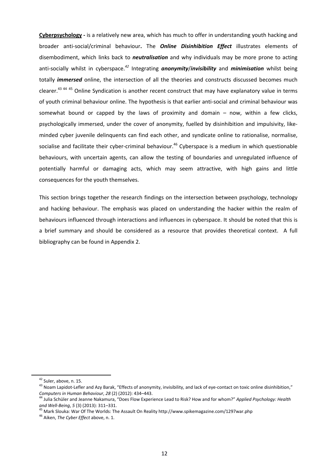**Cyberpsychology -** is a relatively new area, which has much to offer in understanding youth hacking and broader anti-social/criminal behaviour**.** The *Online Disinhibition Effect* illustrates elements of disembodiment, which links back to *neutralisation* and why individuals may be more prone to acting anti-socially whilst in cyberspace.*<sup>42</sup>* Integrating *anonymity*/*invisibility* and *minimisation* whilst being totally *immersed* online, the intersection of all the theories and constructs discussed becomes much clearer.<sup>43 44 45</sup> Online Syndication is another recent construct that may have explanatory value in terms of youth criminal behaviour online. The hypothesis is that earlier anti-social and criminal behaviour was somewhat bound or capped by the laws of proximity and domain – now, within a few clicks, psychologically immersed, under the cover of anonymity, fuelled by disinhibition and impulsivity, likeminded cyber juvenile delinquents can find each other, and syndicate online to rationalise, normalise, socialise and facilitate their cyber-criminal behaviour.<sup>46</sup> Cyberspace is a medium in which questionable behaviours, with uncertain agents, can allow the testing of boundaries and unregulated influence of potentially harmful or damaging acts, which may seem attractive, with high gains and little consequences for the youth themselves.

This section brings together the research findings on the intersection between psychology, technology and hacking behaviour. The emphasis was placed on understanding the hacker within the realm of behaviours influenced through interactions and influences in cyberspace. It should be noted that this is a brief summary and should be considered as a resource that provides theoretical context. A full bibliography can be found in Appendix 2.

<sup>&</sup>lt;sup>42</sup> Suler, above, n. 15.

<sup>&</sup>lt;sup>43</sup> Noam Lapidot-Lefler and Azy Barak, "Effects of anonymity, invisibility, and lack of eye-contact on toxic online disinhibition,"<br>Computers in Human Behaviour, 28 (2) (2012): 434–443.

<sup>&</sup>lt;sup>44</sup> Julia Schüler and Jeanne Nakamura, "Does Flow Experience Lead to Risk? How and for whom?" *Applied Psychology: Health and Well-Being*, *5* (3) (2013): 311–331. 45 Mark Slouka: War Of The Worlds: The Assault On Reality http://www.spikemagazine.com/1297war.php 46 Aiken, *The Cyber Effect* above, n. 1.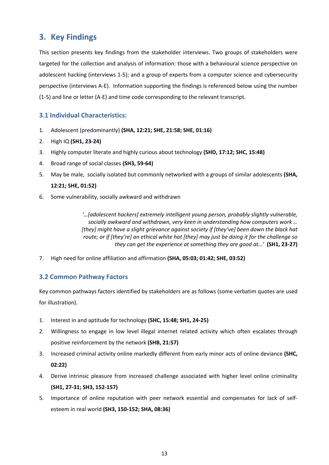# **3. Key Findings**

This section presents key findings from the stakeholder interviews. Two groups of stakeholders were targeted for the collection and analysis of information: those with a behavioural science perspective on adolescent hacking (interviews 1-5); and a group of experts from a computer science and cybersecurity perspective (interviews A-E). Information supporting the findings is referenced below using the number (1-5) and line or letter (A-E) and time code corresponding to the relevant transcript.

# **3.1 Individual Characteristics:**

- 1. Adolescent (predominantly) **(SHA, 12:21; SHE, 21:58; SHE, 01:16)**
- 2. High IQ **(SH1, 23-24)**
- 3. Highly computer literate and highly curious about technology **(SHD, 17:12; SHC, 15:48)**
- 4. Broad range of social classes **(SH3, 59-64)**
- 5. May be male, socially isolated but commonly networked with a groups of similar adolescents **(SHA, 12:21; SHE, 01:52)**
- 6. Some vulnerability, socially awkward and withdrawn

*'…[adolescent hackers] extremely intelligent young person, probably slightly vulnerable, socially awkward and withdrawn, very keen in understanding how computers work … [they] might have a slight grievance against society if [they've] been down the black hat route; or if [they're] an ethical white hat [they] may just be doing it for the challenge so they can get the experience at something they are good at…'* **(SH1, 23-27)** 

7. High need for online affiliation and affirmation **(SHA, 05:03; 01:42; SHE, 03:52)**

# **3.2 Common Pathway Factors**

Key common pathways factors identified by stakeholders are as follows (some verbatim quotes are used for illustration).

- 1. Interest in and aptitude for technology **(SHC, 15:48; SH1, 24-25)**
- 2. Willingness to engage in low level illegal internet related activity which often escalates through positive reinforcement by the network **(SHB, 21:57)**
- 3. Increased criminal activity online markedly different from early minor acts of online deviance **(SHC, 02:22)**
- 4. Derive intrinsic pleasure from increased challenge associated with higher level online criminality **(SH1, 27-31; SH3, 152-157)**
- 5. Importance of online reputation with peer network essential and compensates for lack of selfesteem in real world **(SH3, 150-152; SHA, 08:36)**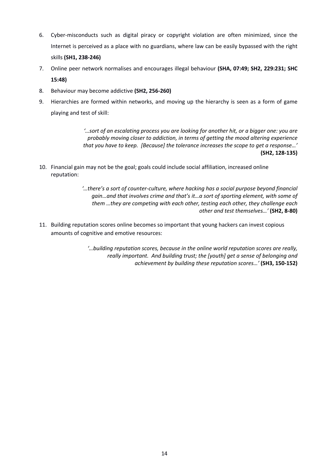- 6. Cyber-misconducts such as digital piracy or copyright violation are often minimized, since the Internet is perceived as a place with no guardians, where law can be easily bypassed with the right skills **(SH1, 238-246)**
- 7. Online peer network normalises and encourages illegal behaviour **(SHA, 07:49; SH2, 229:231; SHC 15:48)**
- 8. Behaviour may become addictive **(SH2, 256-260)**
- 9. Hierarchies are formed within networks, and moving up the hierarchy is seen as a form of game playing and test of skill:

*'…sort of an escalating process you are looking for another hit, or a bigger one: you are probably moving closer to addiction, in terms of getting the mood altering experience that you have to keep. [Because] the tolerance increases the scope to get a response…'*  **(SH2, 128-135)**

- 10. Financial gain may not be the goal; goals could include social affiliation, increased online reputation:
	- *'…there's a sort of counter-culture, where hacking has a social purpose beyond financial gain…and that involves crime and that's it…a sort of sporting element, with some of them …they are competing with each other, testing each other, they challenge each other and test themselves…'* **(SH2, 8-80)**
- 11. Building reputation scores online becomes so important that young hackers can invest copious amounts of cognitive and emotive resources:

*'…building reputation scores, because in the online world reputation scores are really, really important. And building trust; the [youth] get a sense of belonging and achievement by building these reputation scores…'* **(SH3, 150-152)**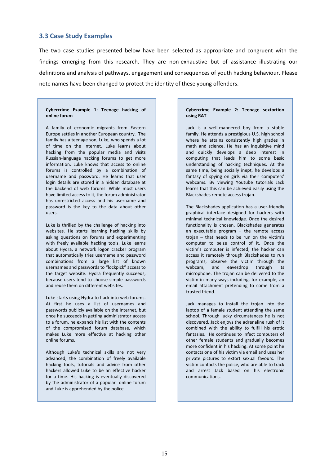#### **3.3 Case Study Examples**

The two case studies presented below have been selected as appropriate and congruent with the findings emerging from this research. They are non-exhaustive but of assistance illustrating our definitions and analysis of pathways, engagement and consequences of youth hacking behaviour. Please note names have been changed to protect the identity of these young offenders.

#### **Cybercrime Example 1: Teenage hacking of online forum**

A family of economic migrants from Eastern Europe settles in another European country. The family has a teenage son, Luke, who spends a lot of time on the Internet. Luke learns about hacking from the popular media and visits Russian-language hacking forums to get more information. Luke knows that access to online forums is controlled by a combination of username and password. He learns that user login details are stored in a hidden database at the backend of web forums. While most users have limited access to it, the forum administrator has unrestricted access and his username and password is the key to the data about other users.

Luke is thrilled by the challenge of hacking into websites. He starts learning hacking skills by asking questions on forums and experimenting with freely available hacking tools. Luke learns about Hydra, a network logon cracker program that automatically tries username and password combinations from a large list of known usernames and passwords to "lockpick" access to the target website. Hydra frequently succeeds, because users tend to choose simple passwords and reuse them on different websites.

Luke starts using Hydra to hack into web forums. At first he uses a list of usernames and passwords publicly available on the Internet, but once he succeeds in getting administrator access to a forum, he expands his list with the contents of the compromised forum database, which makes Luke more effective at hacking other online forums.

Although Luke's technical skills are not very advanced, the combination of freely available hacking tools, tutorials and advice from other hackers allowed Luke to be an effective hacker for a time. His hacking is eventually discovered by the administrator of a popular online forum and Luke is apprehended by the police.

#### **Cybercrime Example 2: Teenage sextortion using RAT**

Jack is a well-mannered boy from a stable family. He attends a prestigious U.S. high school where he attains consistently high grades in math and science. He has an inquisitive mind and quickly develops a deep interest in computing that leads him to some basic understanding of hacking techniques. At the same time, being socially inept, he develops a fantasy of spying on girls via their computers' webcams. By viewing Youtube tutorials Jack learns that this can be achieved easily using the Blackshades remote access trojan.

The Blackshades application has a user-friendly graphical interface designed for hackers with minimal technical knowledge. Once the desired functionality is chosen, Blackshades generates an executable program – the remote access trojan – that needs to be run on the victim's computer to seize control of it. Once the victim's computer is infected, the hacker can access it remotely through Blackshades to run programs, observe the victim through the webcam, and eavesdrop through its microphone. The trojan can be delivered to the victim in many ways including, for example, an email attachment pretending to come from a trusted friend.

Jack manages to install the trojan into the laptop of a female student attending the same school. Through lucky circumstances he is not discovered. Jack enjoys the adrenaline rush of it combined with the ability to fulfill his erotic fantasies. He continues to infect computers of other female students and gradually becomes more confident in his hacking. At some point he contacts one of his victim via email and uses her private pictures to extort sexual favours. The victim contacts the police, who are able to track and arrest Jack based on his electronic communications.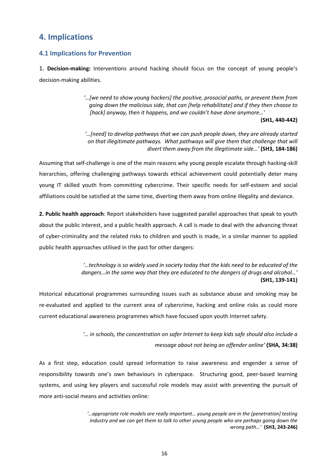# **4. Implications**

# **4.1 Implications for Prevention**

1. **Decision-making:** Interventions around hacking should focus on the concept of young people's decision-making abilities.

> *'…[we need to show young hackers] the positive, prosocial paths, or prevent them from going down the malicious side, that can [help rehabilitate] and if they then choose to [hack] anyway, then it happens, and we couldn't have done anymore…'*

#### **(SH1, 440-442)**

*'…[need] to develop pathways that we can push people down, they are already started on that illegitimate pathways. What pathways will give them that challenge that will divert them away from the illegitimate side…'* **(SH3, 184-186)** 

Assuming that self-challenge is one of the main reasons why young people escalate through hacking-skill hierarchies, offering challenging pathways towards ethical achievement could potentially deter many young IT skilled youth from committing cybercrime. Their specific needs for self-esteem and social affiliations could be satisfied at the same time, diverting them away from online illegality and deviance.

**2. Public health approach**: Report stakeholders have suggested parallel approaches that speak to youth about the public interest, and a public health approach. A call is made to deal with the advancing threat of cyber-criminality and the related risks to children and youth is made, in a similar manner to applied public health approaches utilised in the past for other dangers:

> *'…technology is so widely used in society today that the kids need to be educated of the dangers…in the same way that they are educated to the dangers of drugs and alcohol…'* **(SH1, 139-141)**

Historical educational programmes surrounding issues such as substance abuse and smoking may be re-evaluated and applied to the current area of cybercrime, hacking and online risks as could more current educational awareness programmes which have focused upon youth Internet safety.

> *'… in schools, the concentration on safer Internet to keep kids safe should also include a message about not being an offender online'* **(SHA, 34:38)**

As a first step, education could spread information to raise awareness and engender a sense of responsibility towards one's own behaviours in cyberspace. Structuring good, peer-based learning systems, and using key players and successful role models may assist with preventing the pursuit of more anti-social means and activities online:

> *'…appropriate role models are really important… young people are in the [penetration] testing industry and we can get them to talk to other young people who are perhaps going down the wrong path…'* **(SH3, 243-246)**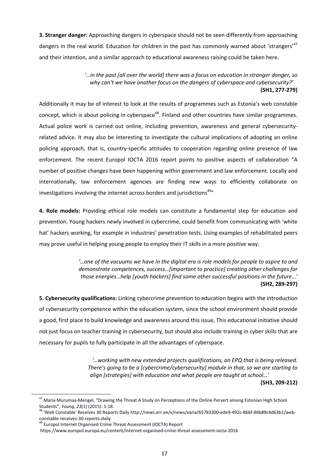**3. Stranger danger:** Approaching dangers in cyberspace should not be seen differently from approaching dangers in the real world. Education for children in the past has commonly warned about 'strangers'<sup>47</sup> and their intention, and a similar approach to educational awareness raising could be taken here.

> *'…in the past [all over the world] there was a focus on education in stranger danger, so why can't we have another focus on the dangers of cyberspace and cybersecurity?'* **(SH1, 277-279)**

Additionally it may be of interest to look at the results of programmes such as Estonia's web constable concept, which is about policing in cyberspace<sup>48</sup>. Finland and other countries have similar programmes. Actual police work is carried out online, including prevention, awareness and general cybersecurityrelated advice. It may also be interesting to investigate the cultural implications of adopting an online policing approach, that is, country-specific attitudes to cooperation regarding online presence of law enforcement. The recent Europol IOCTA 2016 report points to positive aspects of collaboration "A number of positive changes have been happening within government and law enforcement. Locally and internationally, law enforcement agencies are finding new ways to efficiently collaborate on investigations involving the internet across borders and jurisdictions<sup>49</sup>"

**4. Role models:** Providing ethical role models can constitute a fundamental step for education and prevention. Young hackers newly involved in cybercrime, could benefit from communicating with 'white hat' hackers working, for example in industries' penetration tests. Using examples of rehabilitated peers may prove useful in helping young people to employ their IT skills in a more positive way:

> *'…one of the vacuums we have in the digital era is role models for people to aspire to and demonstrate competences, success…[important to practice] creating other challenges for those energies…help [youth hackers] find some other successful positions in the future…'* **(SH2, 289-297)**

**5. Cybersecurity qualifications:** Linking cybercrime prevention to education begins with the introduction of cybersecurity competence within the education system, since the school environment should provide a good, first place to build knowledge and awareness around this issue, This educational initiative should not just focus on teacher training in cybersecurity, but should also include training in cyber skills that are necessary for pupils to fully participate in all the advantages of cyberspace.

> *'…working with new extended projects qualifications, an EPQ that is being released. There's going to be a [cybercrime/cybersecurity] module in that, so we are starting to align [strategies] with education and what people are taught at school…'*

**(SH3, 209-212)** 

<sup>&</sup>lt;sup>47</sup> Maria Murumaa-Mengel, "Drawing the Threat A Study on Perceptions of the Online Pervert among Estonian High School Students", *Young*, 23(1) (2015): 1-18.<br><sup>48</sup> 'Web Constable' Receives 30 Reports Daily http://news.err.ee/v/news/varia/65783300-ede9-492c-866f-86b89c4d63b1/web-

constable-receives-30-reports-daily

 $49$  Europol Internet Organised Crime Threat Assessment (IOCTA) Report

https://www.europol.europa.eu/content/internet-organised-crime-threat-assessment-iocta-2016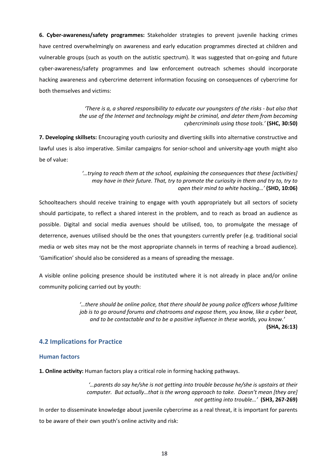**6. Cyber-awareness/safety programmes:** Stakeholder strategies to prevent juvenile hacking crimes have centred overwhelmingly on awareness and early education programmes directed at children and vulnerable groups (such as youth on the autistic spectrum). It was suggested that on-going and future cyber-awareness/safety programmes and law enforcement outreach schemes should incorporate hacking awareness and cybercrime deterrent information focusing on consequences of cybercrime for both themselves and victims:

> *'There is a, a shared responsibility to educate our youngsters of the risks - but also that the use of the Internet and technology might be criminal, and deter them from becoming cybercriminals using those tools.'* **(SHC, 30:50)**

**7. Developing skillsets:** Encouraging youth curiosity and diverting skills into alternative constructive and lawful uses is also imperative. Similar campaigns for senior-school and university-age youth might also be of value:

> *'…trying to reach them at the school, explaining the consequences that these [activities] may have in their future. That, try to promote the curiosity in them and try to, try to open their mind to white hacking…'* **(SHD, 10:06)**

Schoolteachers should receive training to engage with youth appropriately but all sectors of society should participate, to reflect a shared interest in the problem, and to reach as broad an audience as possible. Digital and social media avenues should be utilised, too, to promulgate the message of deterrence, avenues utilised should be the ones that youngsters currently prefer (e.g. traditional social media or web sites may not be the most appropriate channels in terms of reaching a broad audience). 'Gamification' should also be considered as a means of spreading the message.

A visible online policing presence should be instituted where it is not already in place and/or online community policing carried out by youth:

> *'…there should be online police, that there should be young police officers whose fulltime job is to go around forums and chatrooms and expose them, you know, like a cyber beat, and to be contactable and to be a positive influence in these worlds, you know.'* **(SHA, 26:13)**

### **4.2 Implications for Practice**

#### **Human factors**

**1. Online activity:** Human factors play a critical role in forming hacking pathways.

*'…parents do say he/she is not getting into trouble because he/she is upstairs at their computer. But actually…that is the wrong approach to take. Doesn't mean [they are] not getting into trouble…'* **(SH3, 267-269)** 

In order to disseminate knowledge about juvenile cybercrime as a real threat, it is important for parents to be aware of their own youth's online activity and risk: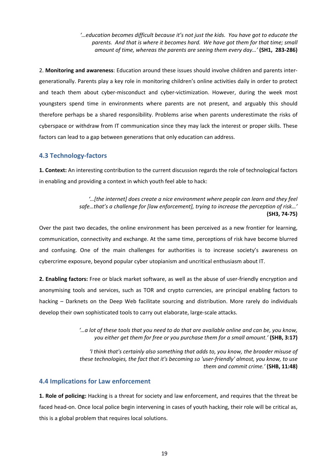*'…education becomes difficult because it's not just the kids. You have got to educate the parents. And that is where it becomes hard. We have got them for that time; small amount of time, whereas the parents are seeing them every day…'* **(SH1, 283-286)** 

2. **Monitoring and awareness**: Education around these issues should involve children and parents intergenerationally. Parents play a key role in monitoring children's online activities daily in order to protect and teach them about cyber-misconduct and cyber-victimization. However, during the week most youngsters spend time in environments where parents are not present, and arguably this should therefore perhaps be a shared responsibility. Problems arise when parents underestimate the risks of cyberspace or withdraw from IT communication since they may lack the interest or proper skills. These factors can lead to a gap between generations that only education can address.

### **4.3 Technology-factors**

**1. Context:** An interesting contribution to the current discussion regards the role of technological factors in enabling and providing a context in which youth feel able to hack:

> *'…[the internet] does create a nice environment where people can learn and they feel safe…that's a challenge for [law enforcement], trying to increase the perception of risk…'*  **(SH3, 74-75)**

Over the past two decades, the online environment has been perceived as a new frontier for learning, communication, connectivity and exchange. At the same time, perceptions of risk have become blurred and confusing. One of the main challenges for authorities is to increase society's awareness on cybercrime exposure, beyond popular cyber utopianism and uncritical enthusiasm about IT.

**2. Enabling factors:** Free or black market software, as well as the abuse of user-friendly encryption and anonymising tools and services, such as TOR and crypto currencies, are principal enabling factors to hacking – Darknets on the Deep Web facilitate sourcing and distribution. More rarely do individuals develop their own sophisticated tools to carry out elaborate, large-scale attacks.

> *'…a lot of these tools that you need to do that are available online and can be, you know, you either get them for free or you purchase them for a small amount.'* **(SHB, 3:17)**

> *'I think that's certainly also something that adds to, you know, the broader misuse of these technologies, the fact that it's becoming so 'user-friendly' almost, you know, to use them and commit crime.'* **(SHB, 11:48)**

### **4.4 Implications for Law enforcement**

**1. Role of policing:** Hacking is a threat for society and law enforcement, and requires that the threat be faced head-on. Once local police begin intervening in cases of youth hacking, their role will be critical as, this is a global problem that requires local solutions.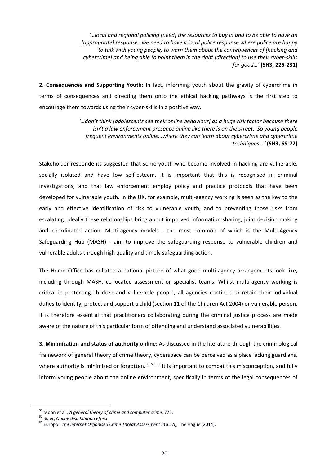*'…local and regional policing [need] the resources to buy in and to be able to have an [appropriate] response…we need to have a local police response where police are happy to talk with young people, to warn them about the consequences of [hacking and cybercrime] and being able to point them in the right [direction] to use their cyber-skills for good…'* **(SH3, 225-231)** 

**2. Consequences and Supporting Youth:** In fact, informing youth about the gravity of cybercrime in terms of consequences and directing them onto the ethical hacking pathways is the first step to encourage them towards using their cyber-skills in a positive way.

> *'…don't think [adolescents see their online behaviour] as a huge risk factor because there isn't a law enforcement presence online like there is on the street. So young people frequent environments online…where they can learn about cybercrime and cybercrime techniques… '* **(SH3, 69-72)**

Stakeholder respondents suggested that some youth who become involved in hacking are vulnerable, socially isolated and have low self-esteem. It is important that this is recognised in criminal investigations, and that law enforcement employ policy and practice protocols that have been developed for vulnerable youth. In the UK, for example, multi-agency working is seen as the key to the early and effective identification of risk to vulnerable youth, and to preventing those risks from escalating. Ideally these relationships bring about improved information sharing, joint decision making and coordinated action. Multi-agency models - the most common of which is the Multi-Agency Safeguarding Hub (MASH) - aim to improve the safeguarding response to vulnerable children and vulnerable adults through high quality and timely safeguarding action.

The Home Office has collated a national picture of what good multi-agency arrangements look like, including through MASH, co-located assessment or specialist teams. Whilst multi-agency working is critical in protecting children and vulnerable people, all agencies continue to retain their individual duties to identify, protect and support a child (section 11 of the Children Act 2004) or vulnerable person. It is therefore essential that practitioners collaborating during the criminal justice process are made aware of the nature of this particular form of offending and understand associated vulnerabilities.

**3. Minimization and status of authority online:** As discussed in the literature through the criminological framework of general theory of crime theory, cyberspace can be perceived as a place lacking guardians, where authority is minimized or forgotten.<sup>50 51 52</sup> It is important to combat this misconception, and fully inform young people about the online environment, specifically in terms of the legal consequences of

<sup>&</sup>lt;sup>50</sup> Moon et al., *A general theory of crime and computer crime,* 772.<br><sup>51</sup> Suler, *Online disinhibition effect*<br><sup>52</sup> Europol, *The Internet Organised Crime Threat Assessment (iOCTA)*, The Hague (2014).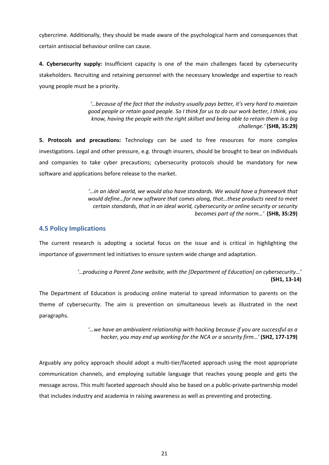cybercrime. Additionally, they should be made aware of the psychological harm and consequences that certain antisocial behaviour online can cause.

**4. Cybersecurity supply:** Insufficient capacity is one of the main challenges faced by cybersecurity stakeholders. Recruiting and retaining personnel with the necessary knowledge and expertise to reach young people must be a priority.

> *'…because of the fact that the industry usually pays better, it's very hard to maintain good people or retain good people. So I think for us to do our work better, I think, you know, having the people with the right skillset and being able to retain them is a big challenge.'* **(SHB, 35:29)**

**5. Protocols and precautions:** Technology can be used to free resources for more complex investigations. Legal and other pressure, e.g. through insurers, should be brought to bear on individuals and companies to take cyber precautions; cybersecurity protocols should be mandatory for new software and applications before release to the market.

> *'…in an ideal world, we would also have standards. We would have a framework that would define…for new software that comes along, that…these products need to meet certain standards, that in an ideal world, cybersecurity or online security or security becomes part of the norm…'* **(SHB, 35:29)**

# **4.5 Policy Implications**

The current research is adopting a societal focus on the issue and is critical in highlighting the importance of government led initiatives to ensure system wide change and adaptation.

> *'…producing a Parent Zone website, with the [Department of Education] on cybersecurity…'*  **(SH1, 13-14)**

The Department of Education is producing online material to spread information to parents on the theme of cybersecurity. The aim is prevention on simultaneous levels as illustrated in the next paragraphs.

> *'…we have an ambivalent relationship with hacking because if you are successful as a hacker, you may end up working for the NCA or a security firm…'* **(SH2, 177-179)**

Arguably any policy approach should adopt a multi-tier/faceted approach using the most appropriate communication channels, and employing suitable language that reaches young people and gets the message across. This multi faceted approach should also be based on a public-private-partnership model that includes industry and academia in raising awareness as well as preventing and protecting.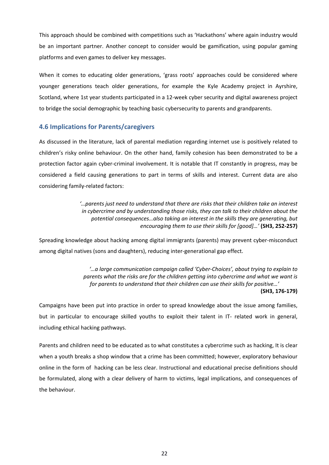This approach should be combined with competitions such as 'Hackathons' where again industry would be an important partner. Another concept to consider would be gamification, using popular gaming platforms and even games to deliver key messages.

When it comes to educating older generations, 'grass roots' approaches could be considered where younger generations teach older generations, for example the Kyle Academy project in Ayrshire, Scotland, where 1st year students participated in a 12-week cyber security and digital awareness project to bridge the social demographic by teaching basic cybersecurity to parents and grandparents.

# **4.6 Implications for Parents/caregivers**

As discussed in the literature, lack of parental mediation regarding internet use is positively related to children's risky online behaviour. On the other hand, family cohesion has been demonstrated to be a protection factor again cyber-criminal involvement. It is notable that IT constantly in progress, may be considered a field causing generations to part in terms of skills and interest. Current data are also considering family-related factors:

> *'…parents just need to understand that there are risks that their children take an interest in cybercrime and by understanding those risks, they can talk to their children about the potential consequences…also taking an interest in the skills they are generating, but encouraging them to use their skills for [good]…'* **(SH3, 252-257)**

Spreading knowledge about hacking among digital immigrants (parents) may prevent cyber-misconduct among digital natives (sons and daughters), reducing inter-generational gap effect.

> *'…a large communication campaign called 'Cyber-Choices', about trying to explain to parents what the risks are for the children getting into cybercrime and what we want is for parents to understand that their children can use their skills for positive…'*

#### **(SH3, 176-179)**

Campaigns have been put into practice in order to spread knowledge about the issue among families, but in particular to encourage skilled youths to exploit their talent in IT- related work in general, including ethical hacking pathways.

Parents and children need to be educated as to what constitutes a cybercrime such as hacking, It is clear when a youth breaks a shop window that a crime has been committed; however, exploratory behaviour online in the form of hacking can be less clear. Instructional and educational precise definitions should be formulated, along with a clear delivery of harm to victims, legal implications, and consequences of the behaviour.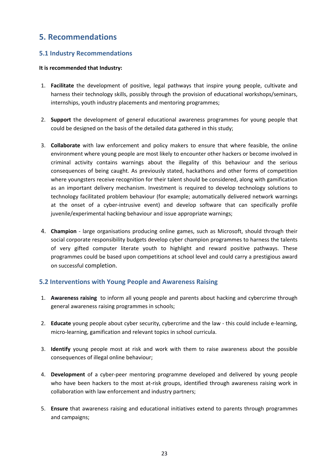# **5. Recommendations**

# **5.1 Industry Recommendations**

### **It is recommended that Industry:**

- 1. **Facilitate** the development of positive, legal pathways that inspire young people, cultivate and harness their technology skills, possibly through the provision of educational workshops/seminars, internships, youth industry placements and mentoring programmes;
- 2. **Support** the development of general educational awareness programmes for young people that could be designed on the basis of the detailed data gathered in this study;
- 3. **Collaborate** with law enforcement and policy makers to ensure that where feasible, the online environment where young people are most likely to encounter other hackers or become involved in criminal activity contains warnings about the illegality of this behaviour and the serious consequences of being caught. As previously stated, hackathons and other forms of competition where youngsters receive recognition for their talent should be considered, along with gamification as an important delivery mechanism. Investment is required to develop technology solutions to technology facilitated problem behaviour (for example; automatically delivered network warnings at the onset of a cyber-intrusive event) and develop software that can specifically profile juvenile/experimental hacking behaviour and issue appropriate warnings;
- 4. **Champion** large organisations producing online games, such as Microsoft, should through their social corporate responsibility budgets develop cyber champion programmes to harness the talents of very gifted computer literate youth to highlight and reward positive pathways. These programmes could be based upon competitions at school level and could carry a prestigious award on successful completion.

# **5.2 Interventions with Young People and Awareness Raising**

- 1. **Awareness raising** to inform all young people and parents about hacking and cybercrime through general awareness raising programmes in schools;
- 2. **Educate** young people about cyber security, cybercrime and the law this could include e-learning, micro-learning, gamification and relevant topics in school curricula.
- 3. **Identify** young people most at risk and work with them to raise awareness about the possible consequences of illegal online behaviour;
- 4. **Development** of a cyber-peer mentoring programme developed and delivered by young people who have been hackers to the most at-risk groups, identified through awareness raising work in collaboration with law enforcement and industry partners;
- 5. **Ensure** that awareness raising and educational initiatives extend to parents through programmes and campaigns;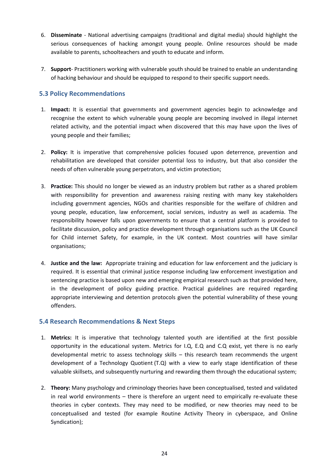- 6. **Disseminate**  National advertising campaigns (traditional and digital media) should highlight the serious consequences of hacking amongst young people. Online resources should be made available to parents, schoolteachers and youth to educate and inform.
- 7. **Support** Practitioners working with vulnerable youth should be trained to enable an understanding of hacking behaviour and should be equipped to respond to their specific support needs.

# **5.3 Policy Recommendations**

- 1. **Impact:** It is essential that governments and government agencies begin to acknowledge and recognise the extent to which vulnerable young people are becoming involved in illegal internet related activity, and the potential impact when discovered that this may have upon the lives of young people and their families;
- 2. **Policy:** It is imperative that comprehensive policies focused upon deterrence, prevention and rehabilitation are developed that consider potential loss to industry, but that also consider the needs of often vulnerable young perpetrators, and victim protection;
- 3. **Practice:** This should no longer be viewed as an industry problem but rather as a shared problem with responsibility for prevention and awareness raising resting with many key stakeholders including government agencies, NGOs and charities responsible for the welfare of children and young people, education, law enforcement, social services, industry as well as academia. The responsibility however falls upon governments to ensure that a central platform is provided to facilitate discussion, policy and practice development through organisations such as the UK Council for Child internet Safety, for example, in the UK context. Most countries will have similar organisations;
- 4. **Justice and the law:** Appropriate training and education for law enforcement and the judiciary is required. It is essential that criminal justice response including law enforcement investigation and sentencing practice is based upon new and emerging empirical research such as that provided here, in the development of policy guiding practice. Practical guidelines are required regarding appropriate interviewing and detention protocols given the potential vulnerability of these young offenders.

# **5.4 Research Recommendations & Next Steps**

- 1. **Metrics:** It is imperative that technology talented youth are identified at the first possible opportunity in the educational system. Metrics for I.Q, E.Q and C.Q exist, yet there is no early developmental metric to assess technology skills – this research team recommends the urgent development of a Technology Quotient (T.Q) with a view to early stage identification of these valuable skillsets, and subsequently nurturing and rewarding them through the educational system;
- 2. **Theory:** Many psychology and criminology theories have been conceptualised, tested and validated in real world environments – there is therefore an urgent need to empirically re-evaluate these theories in cyber contexts. They may need to be modified, or new theories may need to be conceptualised and tested (for example Routine Activity Theory in cyberspace, and Online Syndication);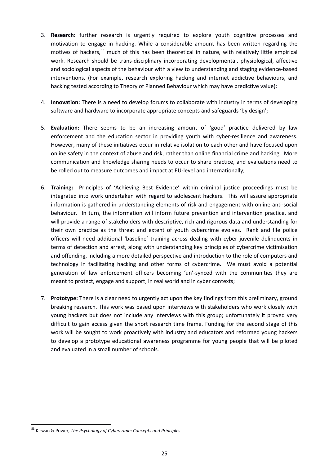- 3. **Research:** further research is urgently required to explore youth cognitive processes and motivation to engage in hacking. While a considerable amount has been written regarding the motives of hackers,<sup>53</sup> much of this has been theoretical in nature, with relatively little empirical work. Research should be trans-disciplinary incorporating developmental, physiological, affective and sociological aspects of the behaviour with a view to understanding and staging evidence-based interventions. (For example, research exploring hacking and internet addictive behaviours, and hacking tested according to Theory of Planned Behaviour which may have predictive value);
- 4. **Innovation:** There is a need to develop forums to collaborate with industry in terms of developing software and hardware to incorporate appropriate concepts and safeguards 'by design';
- 5. **Evaluation:** There seems to be an increasing amount of 'good' practice delivered by law enforcement and the education sector in providing youth with cyber-resilience and awareness. However, many of these initiatives occur in relative isolation to each other and have focused upon online safety in the context of abuse and risk, rather than online financial crime and hacking. More communication and knowledge sharing needs to occur to share practice, and evaluations need to be rolled out to measure outcomes and impact at EU-level and internationally;
- 6. **Training:** Principles of 'Achieving Best Evidence' within criminal justice proceedings must be integrated into work undertaken with regard to adolescent hackers. This will assure appropriate information is gathered in understanding elements of risk and engagement with online anti-social behaviour. In turn, the information will inform future prevention and intervention practice, and will provide a range of stakeholders with descriptive, rich and rigorous data and understanding for their own practice as the threat and extent of youth cybercrime evolves. Rank and file police officers will need additional 'baseline' training across dealing with cyber juvenile delinquents in terms of detection and arrest, along with understanding key principles of cybercrime victimisation and offending, including a more detailed perspective and introduction to the role of computers and technology in facilitating hacking and other forms of cybercrime. We must avoid a potential generation of law enforcement officers becoming 'un'-synced with the communities they are meant to protect, engage and support, in real world and in cyber contexts;
- 7. **Prototype:** There is a clear need to urgently act upon the key findings from this preliminary, ground breaking research. This work was based upon interviews with stakeholders who work closely with young hackers but does not include any interviews with this group; unfortunately it proved very difficult to gain access given the short research time frame. Funding for the second stage of this work will be sought to work proactively with industry and educators and reformed young hackers to develop a prototype educational awareness programme for young people that will be piloted and evaluated in a small number of schools.

 $\overline{a}$ 

<sup>53</sup> Kirwan & Power, *The Psychology of Cybercrime: Concepts and Principles*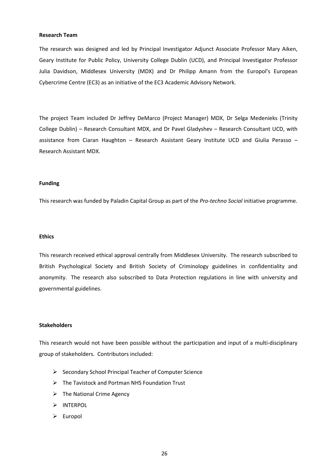#### **Research Team**

The research was designed and led by Principal Investigator Adjunct Associate Professor Mary Aiken, Geary Institute for Public Policy, University College Dublin (UCD), and Principal Investigator Professor Julia Davidson, Middlesex University (MDX) and Dr Philipp Amann from the Europol's European Cybercrime Centre (EC3) as an initiative of the EC3 Academic Advisory Network.

The project Team included Dr Jeffrey DeMarco (Project Manager) MDX, Dr Selga Medenieks (Trinity College Dublin) – Research Consultant MDX, and Dr Pavel Gladyshev – Research Consultant UCD, with assistance from Ciaran Haughton – Research Assistant Geary Institute UCD and Giulia Perasso – Research Assistant MDX.

#### **Funding**

This research was funded by Paladin Capital Group as part of the *Pro-techno Social* initiative programme.

#### **Ethics**

This research received ethical approval centrally from Middlesex University. The research subscribed to British Psychological Society and British Society of Criminology guidelines in confidentiality and anonymity. The research also subscribed to Data Protection regulations in line with university and governmental guidelines.

#### **Stakeholders**

This research would not have been possible without the participation and input of a multi-disciplinary group of stakeholders. Contributors included:

- $\triangleright$  Secondary School Principal Teacher of Computer Science
- $\triangleright$  The Tavistock and Portman NHS Foundation Trust
- $\triangleright$  The National Crime Agency
- $>$  INTERPOL
- $\triangleright$  Europol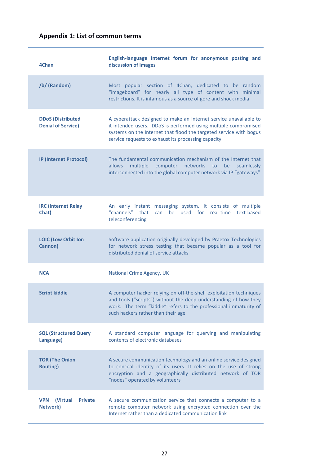# **Appendix 1: List of common terms**

| 4Chan                                                       | English-language Internet forum for anonymous posting and<br>discussion of images                                                                                                                                                                                 |
|-------------------------------------------------------------|-------------------------------------------------------------------------------------------------------------------------------------------------------------------------------------------------------------------------------------------------------------------|
| /b/ (Random)                                                | Most popular section of 4Chan, dedicated to be random<br>"imageboard" for nearly all type of content with minimal<br>restrictions. It is infamous as a source of gore and shock media                                                                             |
| <b>DDoS</b> (Distributed<br><b>Denial of Service)</b>       | A cyberattack designed to make an Internet service unavailable to<br>it intended users. DDoS is performed using multiple compromised<br>systems on the Internet that flood the targeted service with bogus<br>service requests to exhaust its processing capacity |
| <b>IP (Internet Protocol)</b>                               | The fundamental communication mechanism of the Internet that<br>allows<br>multiple<br>computer networks<br>be<br>to<br>seamlessly<br>interconnected into the global computer network via IP "gateways"                                                            |
| <b>IRC</b> (Internet Relay<br>Chat)                         | An early instant messaging system. It consists of multiple<br>"channels" that<br>be<br>used for<br>real-time text-based<br>can<br>teleconferencing                                                                                                                |
| <b>LOIC (Low Orbit Ion</b><br>Cannon)                       | Software application originally developed by Praetox Technologies<br>for network stress testing that became popular as a tool for<br>distributed denial of service attacks                                                                                        |
| <b>NCA</b>                                                  | National Crime Agency, UK                                                                                                                                                                                                                                         |
| <b>Script kiddie</b>                                        | A computer hacker relying on off-the-shelf exploitation techniques<br>and tools ("scripts") without the deep understanding of how they<br>work. The term "kiddie" refers to the professional immaturity of<br>such hackers rather than their age                  |
| <b>SQL (Structured Query</b><br>Language)                   | A standard computer language for querying and manipulating<br>contents of electronic databases                                                                                                                                                                    |
| <b>TOR (The Onion</b><br><b>Routing)</b>                    | A secure communication technology and an online service designed<br>to conceal identity of its users. It relies on the use of strong<br>encryption and a geographically distributed network of TOR<br>"nodes" operated by volunteers                              |
| <b>VPN</b><br>(Virtual<br><b>Private</b><br><b>Network)</b> | A secure communication service that connects a computer to a<br>remote computer network using encrypted connection over the<br>Internet rather than a dedicated communication link                                                                                |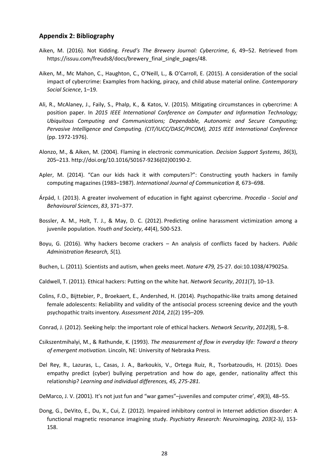#### **Appendix 2: Bibliography**

- Aiken, M. (2016). Not Kidding. *Freud's The Brewery Journal: Cybercrime*, *6*, 49–52. Retrieved from https://issuu.com/freuds8/docs/brewery\_final\_single\_pages/48.
- Aiken, M., Mc Mahon, C., Haughton, C., O'Neill, L., & O'Carroll, E. (2015). A consideration of the social impact of cybercrime: Examples from hacking, piracy, and child abuse material online. *Contemporary Social Science*, 1–19.
- Ali, R., McAlaney, J., Faily, S., Phalp, K., & Katos, V. (2015). Mitigating circumstances in cybercrime: A position paper. In *2015 IEEE International Conference on Computer and Information Technology; Ubiquitous Computing and Communications; Dependable, Autonomic and Secure Computing; Pervasive Intelligence and Computing. (CIT/IUCC/DASC/PICOM), 2015 IEEE International Conference*  (pp. 1972-1976).
- Alonzo, M., & Aiken, M. (2004). Flaming in electronic communication. *Decision Support Systems*, *36*(3), 205–213. http://doi.org/10.1016/S0167-9236(02)00190-2.
- Apler, M. (2014). "Can our kids hack it with computers?": Constructing youth hackers in family computing magazines (1983–1987). *International Journal of Communication 8,* 673–698.
- Árpád, I. (2013). A greater involvement of education in fight against cybercrime. *Procedia Social and Behavioural Sciences*, *83*, 371–377.
- Bossler, A. M., Holt, T. J., & May, D. C. (2012). Predicting online harassment victimization among a juvenile population. *Youth and Society*, *44*(4), 500-523.
- Boyu, G. (2016). Why hackers become crackers An analysis of conflicts faced by hackers. *Public Administration Research, 5*(1)*.*
- Buchen, L. (2011). Scientists and autism, when geeks meet. *Nature 479,* 25-27*.* doi:10.1038/479025a.
- Caldwell, T. (2011). Ethical hackers: Putting on the white hat. *Network Security*, *2011*(7), 10–13.
- Colins, F.O., Bijttebier, P., Broekaert, E., Andershed, H. (2014). Psychopathic-like traits among detained female adolescents: Reliability and validity of the antisocial process screening device and the youth psychopathic traits inventory*. Assessment 2014, 21*(2) 195–209*.*
- Conrad, J. (2012). Seeking help: the important role of ethical hackers. *Network Security*, *2012*(8), 5–8.
- Csikszentmihalyi, M., & Rathunde, K. (1993). *The measurement of flow in everyday life: Toward a theory of emergent motivation.* Lincoln, NE: University of Nebraska Press.
- Del Rey, R., Lazuras, L., Casas, J. A., Barkoukis, V., Ortega Ruiz, R., Tsorbatzoudis, H. (2015). Does empathy predict (cyber) bullying perpetration and how do age, gender, nationality affect this relationship? *Learning and individual differences, 45, 275-281.*
- DeMarco, J. V. (2001). It's not just fun and "war games"–juveniles and computer crime', *49*(3), 48–55.
- Dong, G., DeVito, E., Du, X., Cui, Z. (2012). Impaired inhibitory control in Internet addiction disorder: A functional magnetic resonance imagining study. *Psychiatry Research: Neuroimaging, 203*(2-3*)*, 153- 158.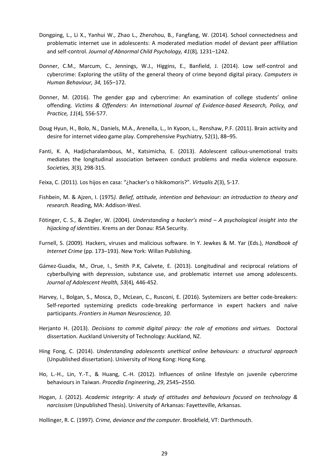- Dongping, L., Li X., Yanhui W., Zhao L., Zhenzhou, B., Fangfang, W. (2014). School connectedness and problematic internet use in adolescents: A moderated mediation model of deviant peer affiliation and self-control. *Journal of Abnormal Child Psychology, 41*(8)*,* 1231–1242.
- Donner, C.M., Marcum, C., Jennings, W.J., Higgins, E., Banfield, J. (2014). Low self-control and cybercrime: Exploring the utility of the general theory of crime beyond digital piracy. *Computers in Human Behaviour, 34,* 165–172*.*
- Donner, M. (2016). The gender gap and cybercrime: An examination of college students' online offending. *Victims & Offenders: An International Journal of Evidence-based Research, Policy, and Practice, 11*(4)*,* 556-577.
- Doug Hyun, H., Bolo, N., Daniels, M.A., Arenella, L., In Kyoon, L., Renshaw, P.F. (2011). Brain activity and desire for internet video game play. Comprehensive Psychiatry, 52(1), 88–95.
- Fanti, K. A, Hadjicharalambous, M., Katsimicha, E. (2013). Adolescent callous-unemotional traits mediates the longitudinal association between conduct problems and media violence exposure. *Societies, 3*(3)*,* 298-315*.*
- Feixa, C. (2011). Los hijos en casa: "¿hacker's o hikikomoris?". *Virtualis 2*(3), 5-17.
- Fishbein, M. & Ajzen, I. (1975*). Belief, attitude, intention and behaviour: an introduction to theory and research.* Reading, MA: Addison-Wesl.
- Fötinger, C. S., & Ziegler, W. (2004). *Understanding a hacker's mind A psychological insight into the hijacking of identities*. Krems an der Donau: RSA Security.
- Furnell, S. (2009). Hackers, viruses and malicious software. In Y. Jewkes & M. Yar (Eds.), *Handbook of Internet Crime* (pp. 173–193). New York: Willan Publishing.
- Gámez-Guadix, M., Orue, I., Smith P.K, Calvete, E. (2013). Longitudinal and reciprocal relations of cyberbullying with depression, substance use, and problematic internet use among adolescents. *Journal of Adolescent Health, 53*(4)*,* 446-452.
- Harvey, I., Bolgan, S., Mosca, D., McLean, C., Rusconi, E. (2016). Systemizers are better code-breakers: Self-reported systemizing predicts code-breaking performance in expert hackers and naïve participants. *Frontiers in Human Neuroscience, 10.*
- Herjanto H. (2013). *Decisions to commit digital piracy: the role of emotions and virtues.* Doctoral dissertation. Auckland University of Technology: Auckland, NZ.
- Hing Fong, C. (2014). *Understanding adolescents unethical online behaviours: a structural approach*  (Unpublished dissertation). University of Hong Kong: Hong Kong.
- Ho, L.-H., Lin, Y.-T., & Huang, C.-H. (2012). Influences of online lifestyle on juvenile cybercrime behaviours in Taiwan. *Procedia Engineering*, *29*, 2545–2550.
- Hogan, J. (2012). *Academic integrity: A study of attitudes and behaviours focused on technology & narcissism* (Unpublished Thesis). University of Arkansas: Fayetteville, Arkansas.

Hollinger, R. C. (1997). *Crime, deviance and the computer*. Brookfield, VT: Darthmouth.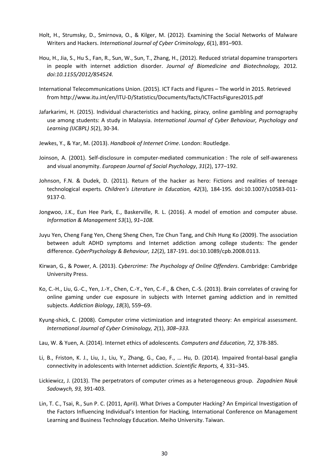- Holt, H., Strumsky, D., Smirnova, O., & Kilger, M. (2012). Examining the Social Networks of Malware Writers and Hackers. *International Journal of Cyber Criminology*, *6*(1), 891–903.
- Hou, H., Jia, S., Hu S., Fan, R., Sun, W., Sun, T., Zhang, H., (2012). Reduced striatal dopamine transporters in people with internet addiction disorder. *Journal of Biomedicine and Biotechnology,* 2012*. doi:10.1155/2012/854524.*
- International Telecommunications Union. (2015). ICT Facts and Figures The world in 2015. Retrieved from http://www.itu.int/en/ITU-D/Statistics/Documents/facts/ICTFactsFigures2015.pdf
- Jafarkarimi, H. (2015). Individual characteristics and hacking, piracy, online gambling and pornography use among students: A study in Malaysia. *International Journal of Cyber Behaviour, Psychology and Learning (IJCBPL) 5*(2), 30-34.
- Jewkes, Y., & Yar, M. (2013). *Handbook of Internet Crime*. London: Routledge.
- Joinson, A. (2001). Self-disclosure in computer-mediated communication : The role of self-awareness and visual anonymity. *European Journal of Social Psychology*, *31*(2), 177–192.
- Johnson, F.N. & Dudek, D. (2011). Return of the hacker as hero: Fictions and realities of teenage technological experts*. Children's Literature in Education, 42*(3), 184-195*.* doi:10.1007/s10583-011- 9137-0.
- Jongwoo, J.K., Eun Hee Park, E., Baskerville, R. L. (2016). A model of emotion and computer abuse. *Information & Management 53*(1), *91–108.*
- Juyu Yen, Cheng Fang Yen, Cheng Sheng Chen, Tze Chun Tang, and Chih Hung Ko (2009). The association between adult ADHD symptoms and Internet addiction among college students: The gender difference. *CyberPsychology & Behaviour, 12*(2), 187-191. doi:10.1089/cpb.2008.0113.
- Kirwan, G., & Power, A. (2013). *Cybercrime: The Psychology of Online Offenders*. Cambridge: Cambridge University Press.
- Ko, C.-H., Liu, G.-C., Yen, J.-Y., Chen, C.-Y., Yen, C.-F., & Chen, C.-S. (2013). Brain correlates of craving for online gaming under cue exposure in subjects with Internet gaming addiction and in remitted subjects. *Addiction Biology*, *18*(3), 559–69.
- Kyung-shick, C. (2008). Computer crime victimization and integrated theory: An empirical assessment. *International Journal of Cyber Criminology, 2*(1), *308–333.*
- Lau, W. & Yuen, A. (2014). Internet ethics of adolescents*. Computers and Education, 72,* 378-385.
- Li, B., Friston, K. J., Liu, J., Liu, Y., Zhang, G., Cao, F., … Hu, D. (2014). Impaired frontal-basal ganglia connectivity in adolescents with Internet addiction. *Scientific Reports, 4,* 331–345.
- Lickiewicz, J. (2013). The perpetrators of computer crimes as a heterogeneous group. *Zagadnien Nauk Sadowych, 93,* 391-403.
- Lin, T. C., Tsai, R., Sun P. C. (2011, April). What Drives a Computer Hacking? An Empirical Investigation of the Factors Influencing Individual's Intention for Hacking*,* International Conference on Management Learning and Business Technology Education. Meiho University. Taiwan.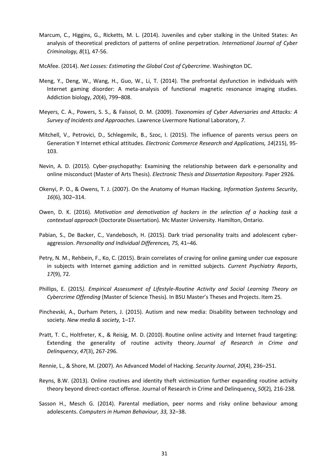- Marcum, C., Higgins, G., Ricketts, M. L. (2014). Juveniles and cyber stalking in the United States: An analysis of theoretical predictors of patterns of online perpetration*. International Journal of Cyber Criminology, 8*(1)*,* 47-56.
- McAfee. (2014). *Net Losses: Estimating the Global Cost of Cybercrime*. Washington DC.
- Meng, Y., Deng, W., Wang, H., Guo, W., Li, T. (2014). The prefrontal dysfunction in individuals with Internet gaming disorder: A meta-analysis of functional magnetic resonance imaging studies. Addiction biology, *20*(4), 799–808.
- Meyers, C. A., Powers, S. S., & Faissol, D. M. (2009). *Taxonomies of Cyber Adversaries and Attacks: A Survey of Incidents and Approaches*. Lawrence Livermore National Laboratory, *7*.
- Mitchell, V., Petrovici, D., Schlegemilc, B., Szoc, I. (2015). The influence of parents versus peers on Generation Y Internet ethical attitudes. *Electronic Commerce Research and Applications, 14*(215), 95- 103.
- Nevin, A. D. (2015). Cyber-psychopathy: Examining the relationship between dark e-personality and online misconduct (Master of Arts Thesis). *Electronic Thesis and Dissertation Repository.* Paper 2926*.*
- Okenyi, P. O., & Owens, T. J. (2007). On the Anatomy of Human Hacking. *Information Systems Security*, *16*(6), 302–314.
- Owen, D. K. (2016). *Motivation and demotivation of hackers in the selection of a hacking task a contextual approach* (Doctorate Dissertation)*.* Mc Master University. Hamilton, Ontario.
- Pabian, S., De Backer, C., Vandebosch, H. (2015). Dark triad personality traits and adolescent cyberaggression. *Personality and Individual Differences, 75,* 41–46*.*
- Petry, N. M., Rehbein, F., Ko, C. (2015). Brain correlates of craving for online gaming under cue exposure in subjects with Internet gaming addiction and in remitted subjects. *Current Psychiatry Reports*, *17*(9), 72*.*
- Phillips, E. (2015*). Empirical Assessment of Lifestyle-Routine Activity and Social Learning Theory on Cybercrime Offending* (Master of Science Thesis)*.* In BSU Master's Theses and Projects. Item 25.
- Pinchevski, A., Durham Peters, J. (2015). Autism and new media: Disability between technology and society. *New media & society,* 1–17*.*
- Pratt, T. C., Holtfreter, K., & Reisig, M. D. (2010). Routine online activity and Internet fraud targeting: Extending the generality of routine activity theory. *Journal of Research in Crime and Delinquency*, *47*(3), 267-296.
- Rennie, L., & Shore, M. (2007). An Advanced Model of Hacking. *Security Journal*, *20*(4), 236–251.
- Reyns, B.W. (2013). Online routines and identity theft victimization further expanding routine activity theory beyond direct-contact offense. Journal of Research in Crime and Delinquency*, 50*(2)*,* 216-238*.*
- Sasson H., Mesch G. (2014). Parental mediation, peer norms and risky online behaviour among adolescents. *Computers in Human Behaviour, 33,* 32–38.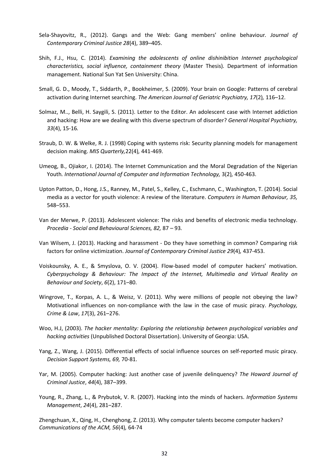- Sela-Shayovitz, R., (2012). Gangs and the Web: Gang members' online behaviour*. Journal of Contemporary Criminal Justice 28*(4), 389–405.
- Shih, F.J., Hsu, C. (2014). *Examining the adolescents of online dishinibition Internet psychological characteristics, social influence, containment theory* (Master Thesis)*.* Department of information management. National Sun Yat Sen University: China.
- Small, G. D., Moody, T., Siddarth, P., Bookheimer, S. (2009). Your brain on Google: Patterns of cerebral activation during Internet searching. *The American Journal of Geriatric Psychiatry, 17*(2)*,* 116–12.
- Solmaz, M.., Belli, H. Saygili, S. (2011). Letter to the Editor. An adolescent case with Internet addiction and hacking: How are we dealing with this diverse spectrum of disorder? *General Hospital Psychiatry, 33*(4), 15-16*.*
- Straub, D. W. & Welke, R. J. (1998) Coping with systems risk: Security planning models for management decision making. *MIS Quarterly,*22(4)*,* 441-469.
- Umeog, B., Ojiakor, I. (2014). The Internet Communication and the Moral Degradation of the Nigerian Youth*. International Journal of Computer and Information Technology,* 3(2)*,* 450-463.
- Upton Patton, D., Hong, J.S., Ranney, M., Patel, S., Kelley, C., Eschmann, C., Washington, T. (2014). Social media as a vector for youth violence: A review of the literature. *Computers in Human Behaviour, 35,*  548–553.
- Van der Merwe, P. (2013). Adolescent violence: The risks and benefits of electronic media technology. *Procedia - Social and Behavioural Sciences, 82,* 87 – 93*.*
- Van Wilsem, J. (2013). Hacking and harassment Do they have something in common? Comparing risk factors for online victimization. *Journal of Contemporary Criminal Justice 29*(4)*,* 437-453.
- Voiskounsky, A. E., & Smyslova, O. V. (2004). Flow-based model of computer hackers' motivation. *Cyberpsychology & Behaviour: The Impact of the Internet, Multimedia and Virtual Reality on Behaviour and Society*, *6*(2), 171–80.
- Wingrove, T., Korpas, A. L., & Weisz, V. (2011). Why were millions of people not obeying the law? Motivational influences on non-compliance with the law in the case of music piracy. *Psychology, Crime & Law*, *17*(3), 261–276.
- Woo, H.J, (2003). *The hacker mentality: Exploring the relationship between psychological variables and hacking activities* (Unpublished Doctoral Dissertation). University of Georgia: USA.
- Yang, Z., Wang, J. (2015). Differential effects of social influence sources on self-reported music piracy. *Decision Support Systems, 69,* 70-81.
- Yar, M. (2005). Computer hacking: Just another case of juvenile delinquency? *The Howard Journal of Criminal Justice*, *44*(4), 387–399.
- Young, R., Zhang, L., & Prybutok, V. R. (2007). Hacking into the minds of hackers. *Information Systems Management*, *24*(4), 281–287.

Zhengchuan, X., Qing, H., Chenghong, Z. (2013). Why computer talents become computer hackers? *Communications of the ACM, 56*(4)*,* 64-74